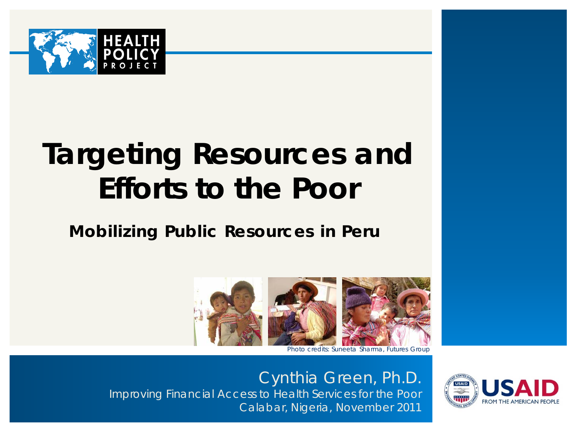

# **Targeting Resources and Efforts to the Poor**

### **Mobilizing Public Resources in Peru**



Photo credits: Suneeta Sharma, Futures Group

Cynthia Green, Ph.D. Improving Financial Access to Health Services for the Poor Calabar, Nigeria, November 2011

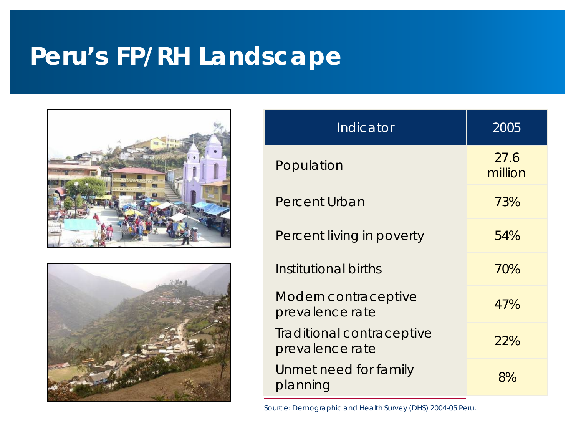### **Peru's FP/RH Landscape**





| Indicator                                    | 2005            |
|----------------------------------------------|-----------------|
| Population                                   | 27.6<br>million |
| Percent Urban                                | 73%             |
| Percent living in poverty                    | 54%             |
| Institutional births                         | 70%             |
| Modern contraceptive<br>prevalence rate      | 47%             |
| Traditional contraceptive<br>prevalence rate | 22%             |
| Unmet need for family<br>planning            | 8%              |

Source: Demographic and Health Survey (DHS) 2004-05 Peru.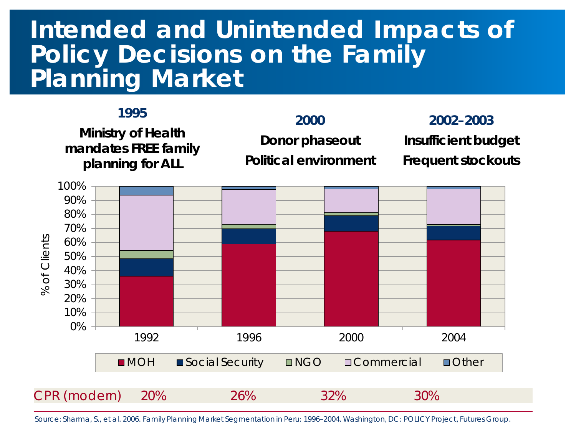### **Intended and Unintended Impacts of Policy Decisions on the Family Planning Market**

#### **1995**

**Ministry of Health mandates FREE family planning for ALL**

#### **2000**

**Donor phaseout**

**Political environment**

**2002–2003 Insufficient budget Frequent stockouts**



Source: Sharma, S., et al. 2006. *Family Planning Market Segmentation in Peru: 1996–2004*. Washington, DC: POLICY Project, Futures Group.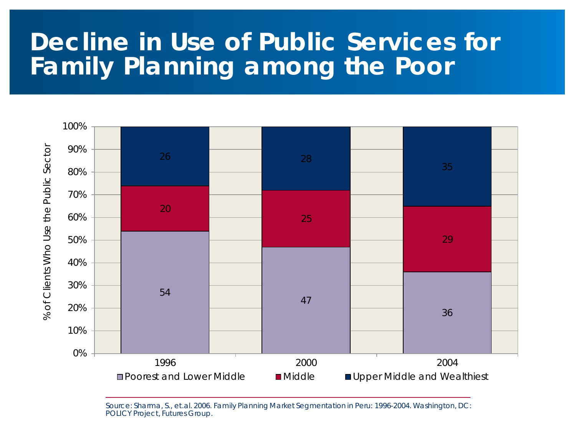### **Decline in Use of Public Services for Family Planning among the Poor**



Source: Sharma, S., et.al. 2006. *Family Planning Market Segmentation in Peru: 1996-2004*. Washington, DC: POLICY Project, Futures Group.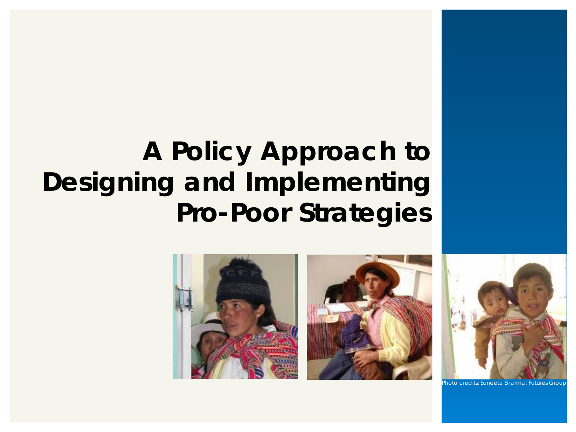## **A Policy Approach to Designing and Implementing Pro-Poor Strategies**





noto credits: Suneeta Sharma, Futures Grou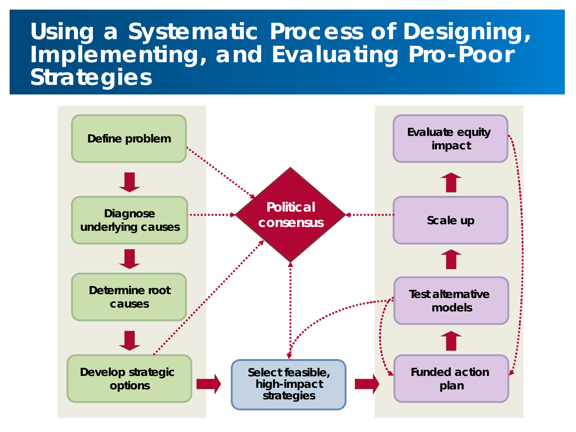### **Using a Systematic Process of Designing, Implementing, and Evaluating Pro-Poor Strategies**

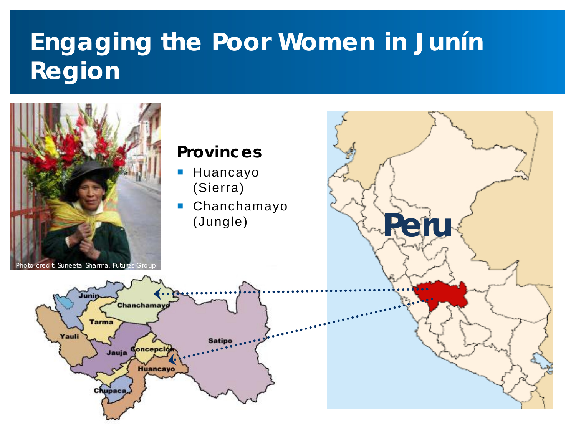## **Engaging the Poor Women in Junín Region**

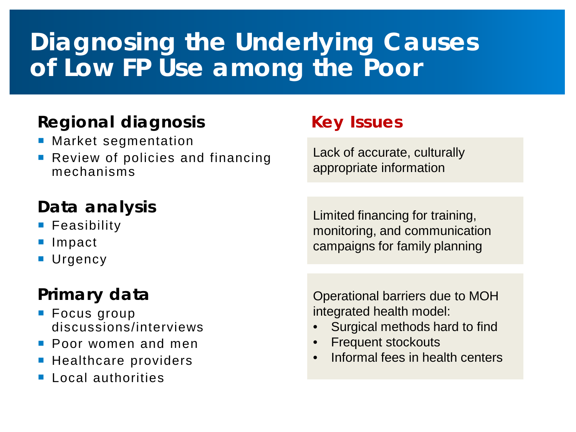## **Diagnosing the Underlying Causes of Low FP Use among the Poor**

### **Regional diagnosis**

- **Market segmentation**
- **Review of policies and financing** mechanisms

### **Data analysis**

- **Feasibility**
- Impact
- **Urgency**

### **Primary data**

- **Focus group** discussions/interviews
- **Poor women and men**
- **Healthcare providers**
- **Local authorities**

### **Key Issues**

Lack of accurate, culturally appropriate information

Limited financing for training, monitoring, and communication campaigns for family planning

Operational barriers due to MOH integrated health model:

- Surgical methods hard to find
- Frequent stockouts
- Informal fees in health centers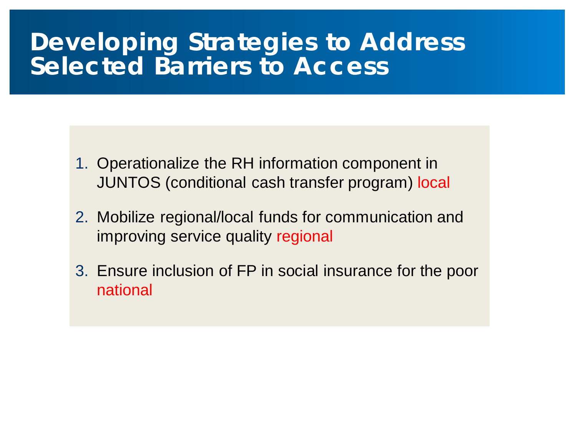### **Developing Strategies to Address Selected Barriers to Access**

- 1. Operationalize the RH information component in JUNTOS (conditional cash transfer program) local
- 2. Mobilize regional/local funds for communication and improving service quality regional
- 3. Ensure inclusion of FP in social insurance for the poor national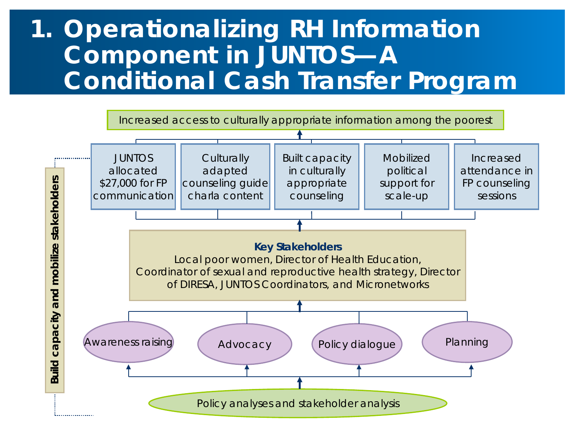### **1. Operationalizing RH Information Component in JUNTOS—A Conditional Cash Transfer Program**

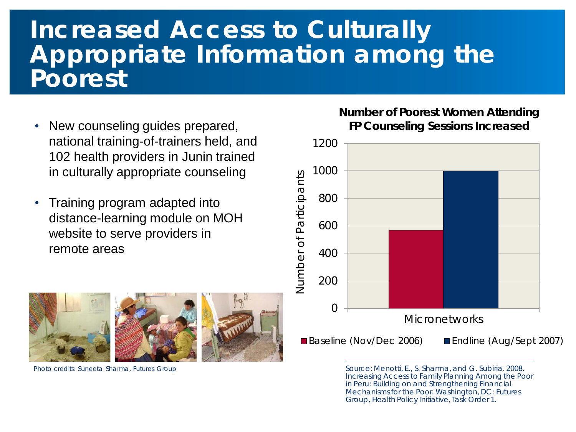### **Increased Access to Culturally Appropriate Information among the Poorest**

- New counseling guides prepared, national training-of-trainers held, and 102 health providers in Junin trained in culturally appropriate counseling
- Training program adapted into distance-learning module on MOH website to serve providers in remote areas



#### **Number of Poorest Women Attending FP Counseling Sessions Increased**



Photo credits: Suneeta Sharma, Futures Group Source: Menotti, E., S. Sharma, and G. Subiria. 2008. Increasing Access to Family Planning Among the Poor in Peru: Building on and Strengthening Financial Mechanisms for the Poor. Washington, DC: Futures Group, Health Policy Initiative, Task Order 1.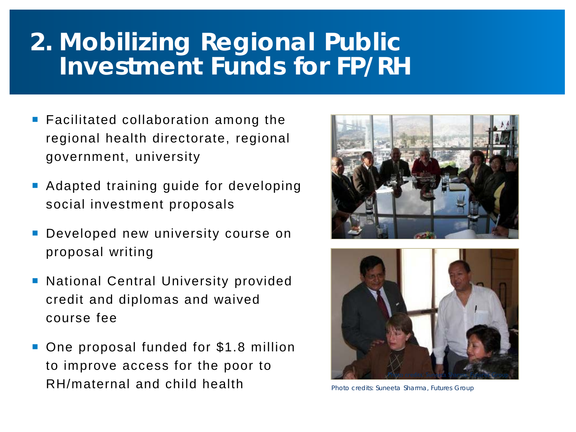### **2. Mobilizing Regional Public Investment Funds for FP/RH**

- **Facilitated collaboration among the** regional health directorate, regional government, university
- Adapted training guide for developing social investment proposals
- Developed new university course on proposal writing
- **National Central University provided** credit and diplomas and waived course fee
- One proposal funded for \$1.8 million to improve access for the poor to RH/maternal and child health





Photo credits: Suneeta Sharma, Futures Group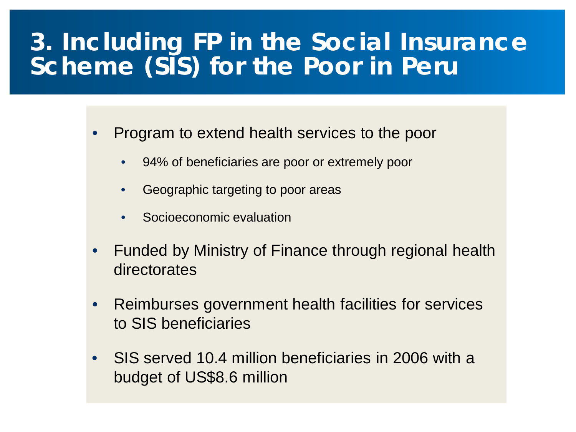### **3. Including FP in the Social Insurance Scheme (SIS) for the Poor in Peru**

• Program to extend health services to the poor

- 94% of beneficiaries are poor or extremely poor
- Geographic targeting to poor areas
- Socioeconomic evaluation
- Funded by Ministry of Finance through regional health directorates
- Reimburses government health facilities for services to SIS beneficiaries
- SIS served 10.4 million beneficiaries in 2006 with a budget of US\$8.6 million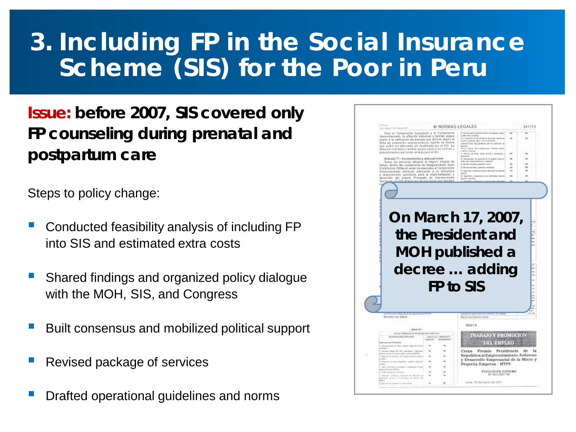### **3. Including FP in the Social Insurance Scheme (SIS) for the Poor in Peru**

**Issue: before 2007, SIS covered only FP** *counseling* **during prenatal and postpartum care**

Steps to policy change:

- Conducted feasibility analysis of including FP into SIS and estimated extra costs
- Shared findings and organized policy dialogue with the MOH, SIS, and Congress
- Built consensus and mobilized political support
- Revised package of services
- Drafted operational guidelines and norms

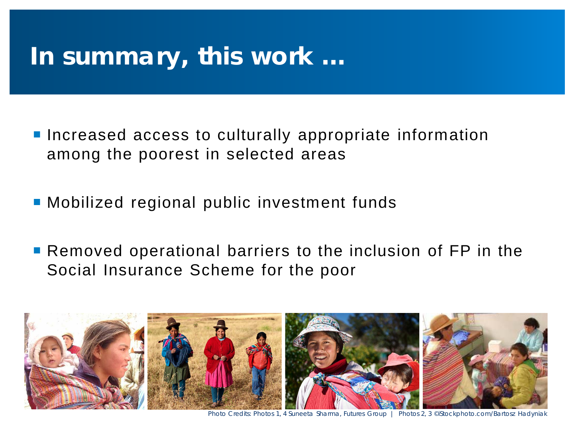### **In summary, this work …**

- **Increased access to culturally appropriate information** among the poorest in selected areas
- Mobilized regional public investment funds
- **Removed operational barriers to the inclusion of FP in the** Social Insurance Scheme for the poor



Photo Credits: Photos 1, 4 Suneeta Sharma, Futures Group | Photos 2, 3 ©iStockphoto.com/Bartosz Hadyniak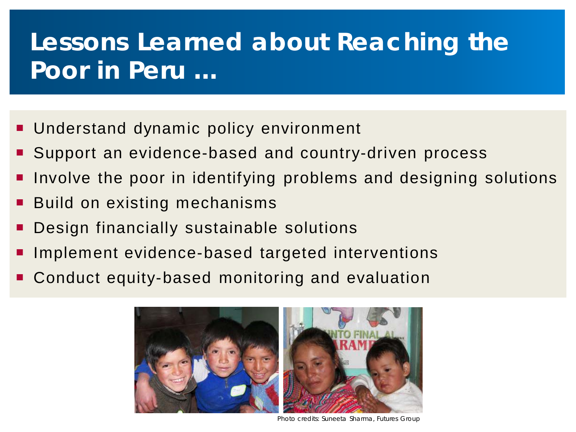## **Lessons Learned about Reaching the Poor in Peru …**

- **Understand dynamic policy environment**
- Support an evidence-based and country-driven process
- Involve the poor in identifying problems and designing solutions
- Build on existing mechanisms
- Design financially sustainable solutions
- Implement evidence-based targeted interventions
- Conduct equity-based monitoring and evaluation



Photo credits: Suneeta Sharma, Futures Group